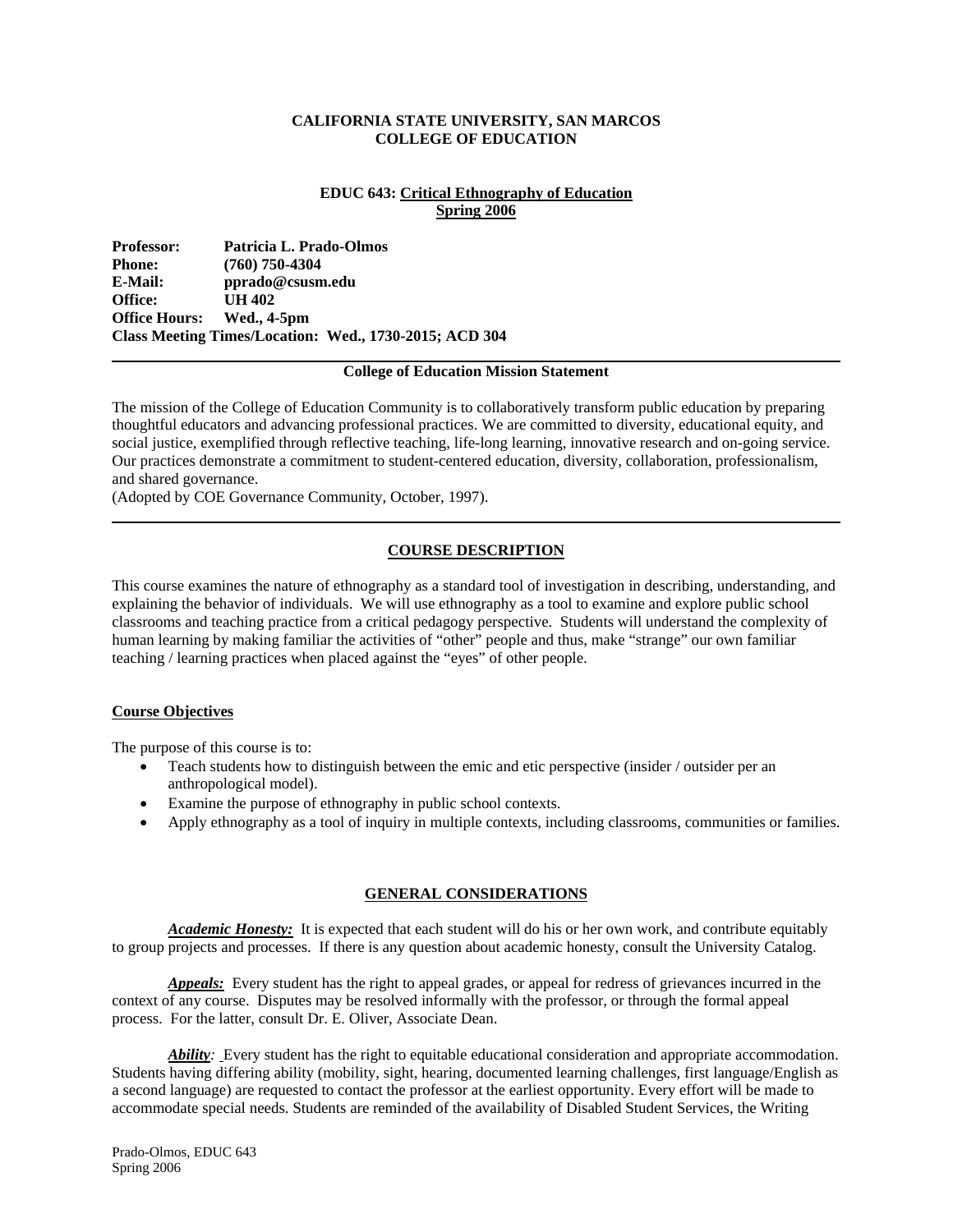## **CALIFORNIA STATE UNIVERSITY, SAN MARCOS COLLEGE OF EDUCATION**

## **EDUC 643: Critical Ethnography of Education Spring 2006**

**Professor: Patricia L. Prado-Olmos Phone:** (760) 750-4304<br>**E-Mail:** pprado@csusm **E-Mail: pprado@csusm.edu Office: UH 402 Office Hours: Wed., 4-5pm Class Meeting Times/Location: Wed., 1730-2015; ACD 304** 

#### **College of Education Mission Statement**

The mission of the College of Education Community is to collaboratively transform public education by preparing thoughtful educators and advancing professional practices. We are committed to diversity, educational equity, and social justice, exemplified through reflective teaching, life-long learning, innovative research and on-going service. Our practices demonstrate a commitment to student-centered education, diversity, collaboration, professionalism, and shared governance.

(Adopted by COE Governance Community, October, 1997).

## **COURSE DESCRIPTION**

This course examines the nature of ethnography as a standard tool of investigation in describing, understanding, and explaining the behavior of individuals. We will use ethnography as a tool to examine and explore public school classrooms and teaching practice from a critical pedagogy perspective. Students will understand the complexity of human learning by making familiar the activities of "other" people and thus, make "strange" our own familiar teaching / learning practices when placed against the "eyes" of other people.

## **Course Objectives**

The purpose of this course is to:

- Teach students how to distinguish between the emic and etic perspective (insider / outsider per an anthropological model).
- Examine the purpose of ethnography in public school contexts.
- Apply ethnography as a tool of inquiry in multiple contexts, including classrooms, communities or families.

## **GENERAL CONSIDERATIONS**

*Academic Honesty:* It is expected that each student will do his or her own work, and contribute equitably to group projects and processes. If there is any question about academic honesty, consult the University Catalog.

*Appeals:* Every student has the right to appeal grades, or appeal for redress of grievances incurred in the context of any course. Disputes may be resolved informally with the professor, or through the formal appeal process. For the latter, consult Dr. E. Oliver, Associate Dean.

*Ability:* Every student has the right to equitable educational consideration and appropriate accommodation. Students having differing ability (mobility, sight, hearing, documented learning challenges, first language/English as a second language) are requested to contact the professor at the earliest opportunity. Every effort will be made to accommodate special needs. Students are reminded of the availability of Disabled Student Services, the Writing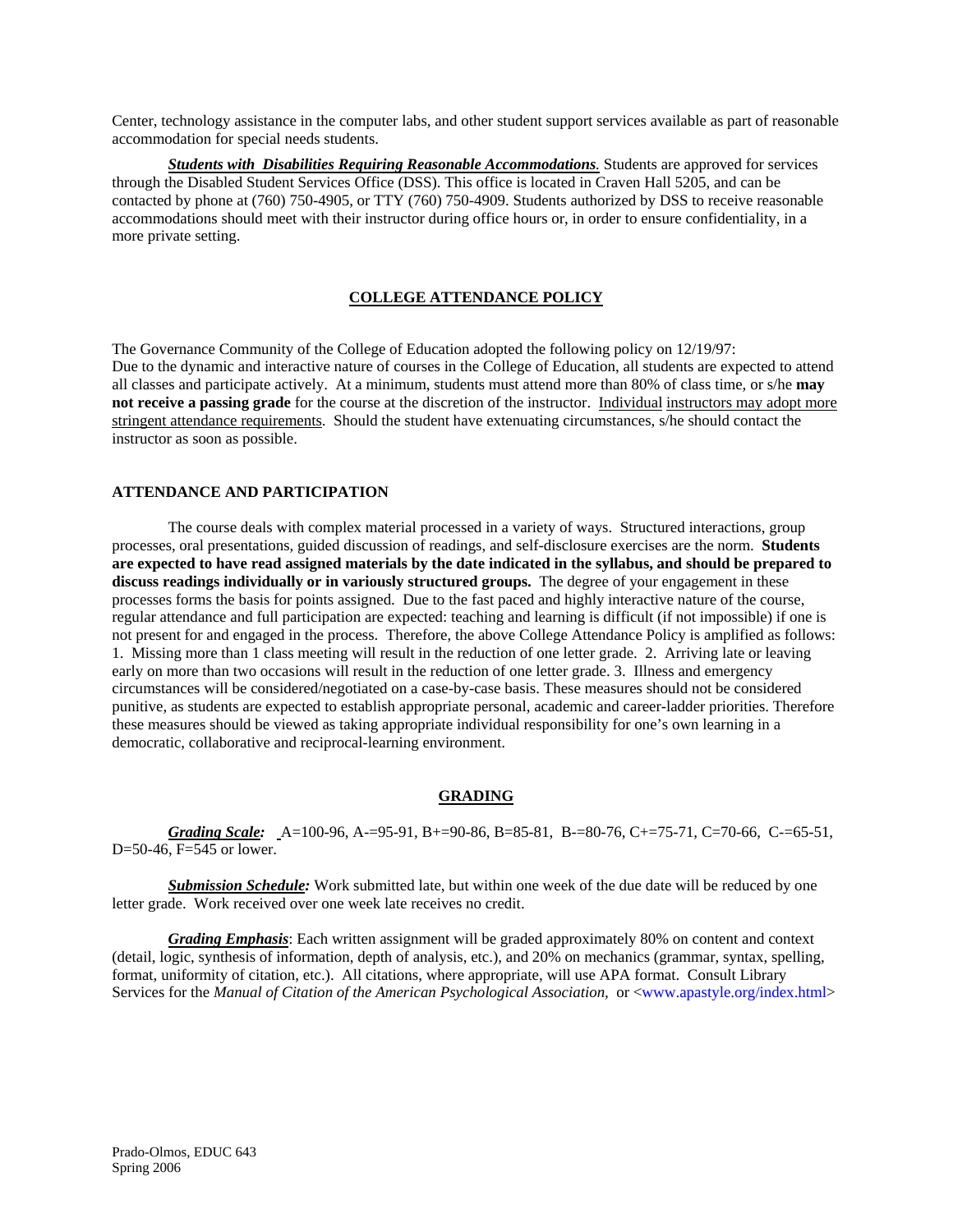Center, technology assistance in the computer labs, and other student support services available as part of reasonable accommodation for special needs students.

*Students with Disabilities Requiring Reasonable Accommodations.* Students are approved for services through the Disabled Student Services Office (DSS). This office is located in Craven Hall 5205, and can be contacted by phone at (760) 750-4905, or TTY (760) 750-4909. Students authorized by DSS to receive reasonable accommodations should meet with their instructor during office hours or, in order to ensure confidentiality, in a more private setting.

## **COLLEGE ATTENDANCE POLICY**

The Governance Community of the College of Education adopted the following policy on 12/19/97: Due to the dynamic and interactive nature of courses in the College of Education, all students are expected to attend all classes and participate actively. At a minimum, students must attend more than 80% of class time, or s/he **may not receive a passing grade** for the course at the discretion of the instructor. Individual instructors may adopt more stringent attendance requirements. Should the student have extenuating circumstances, s/he should contact the instructor as soon as possible.

## **ATTENDANCE AND PARTICIPATION**

The course deals with complex material processed in a variety of ways. Structured interactions, group processes, oral presentations, guided discussion of readings, and self-disclosure exercises are the norm. **Students are expected to have read assigned materials by the date indicated in the syllabus, and should be prepared to discuss readings individually or in variously structured groups.** The degree of your engagement in these processes forms the basis for points assigned. Due to the fast paced and highly interactive nature of the course, regular attendance and full participation are expected: teaching and learning is difficult (if not impossible) if one is not present for and engaged in the process. Therefore, the above College Attendance Policy is amplified as follows: 1. Missing more than 1 class meeting will result in the reduction of one letter grade. 2. Arriving late or leaving early on more than two occasions will result in the reduction of one letter grade. 3. Illness and emergency circumstances will be considered/negotiated on a case-by-case basis. These measures should not be considered punitive, as students are expected to establish appropriate personal, academic and career-ladder priorities. Therefore these measures should be viewed as taking appropriate individual responsibility for one's own learning in a democratic, collaborative and reciprocal-learning environment.

## **GRADING**

*Grading Scale:* A=100-96, A-=95-91, B+=90-86, B=85-81, B-=80-76, C+=75-71, C=70-66, C-=65-51, D=50-46, F=545 or lower.

 *Submission Schedule:* Work submitted late, but within one week of the due date will be reduced by one letter grade. Work received over one week late receives no credit.

*Grading Emphasis*: Each written assignment will be graded approximately 80% on content and context (detail, logic, synthesis of information, depth of analysis, etc.), and 20% on mechanics (grammar, syntax, spelling, format, uniformity of citation, etc.). All citations, where appropriate, will use APA format. Consult Library Services for the *Manual of Citation of the American Psychological Association,* or <www.apastyle.org/index.html>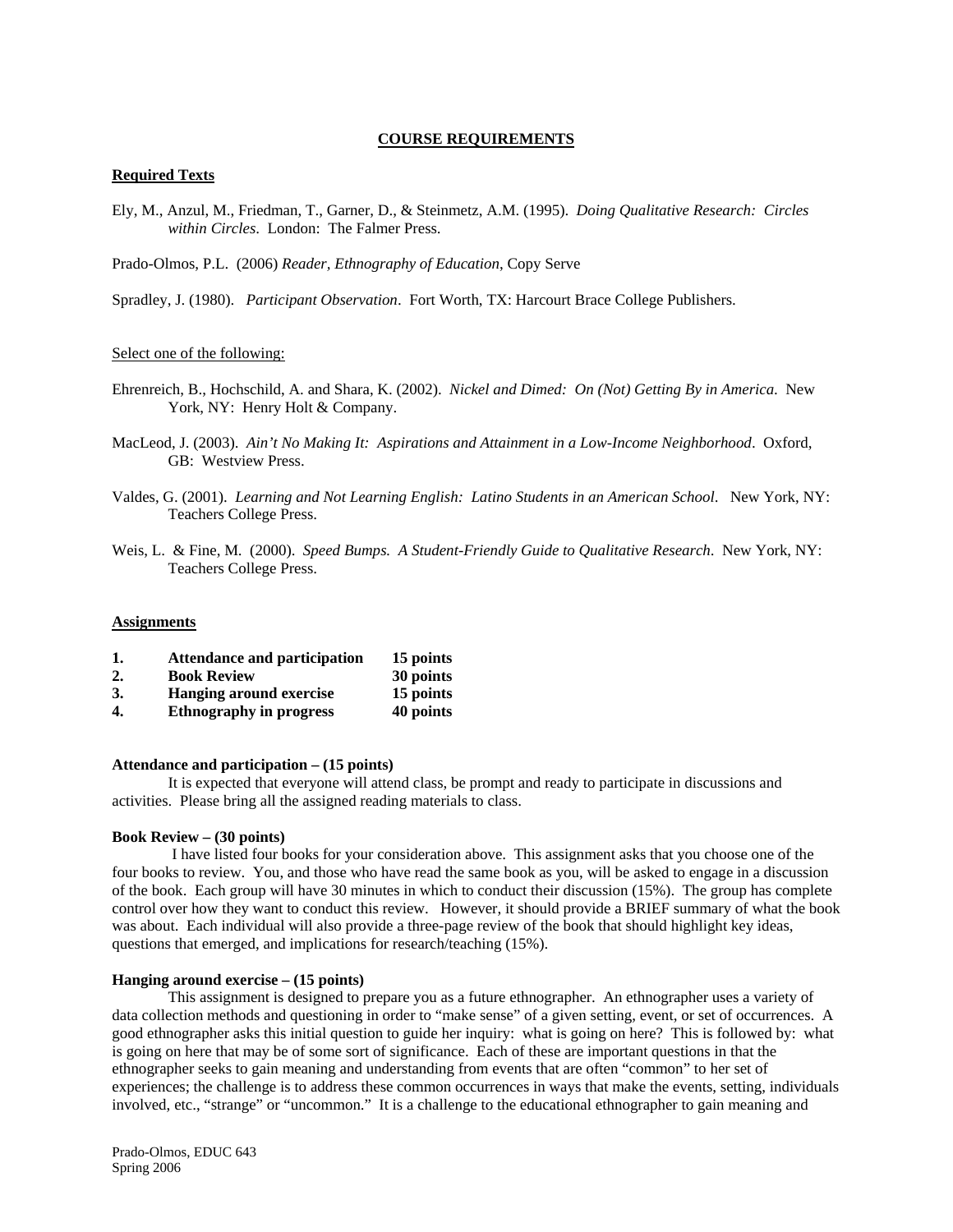## **COURSE REQUIREMENTS**

#### **Required Texts**

Ely, M., Anzul, M., Friedman, T., Garner, D., & Steinmetz, A.M. (1995). *Doing Qualitative Research: Circles within Circles*. London: The Falmer Press.

Prado-Olmos, P.L. (2006) *Reader, Ethnography of Education*, Copy Serve

Spradley, J. (1980). *Participant Observation*. Fort Worth, TX: Harcourt Brace College Publishers.

#### Select one of the following:

- Ehrenreich, B., Hochschild, A. and Shara, K. (2002). *Nickel and Dimed: On (Not) Getting By in America*. New York, NY: Henry Holt & Company.
- MacLeod, J. (2003). *Ain't No Making It: Aspirations and Attainment in a Low-Income Neighborhood*. Oxford, GB: Westview Press.
- Valdes, G. (2001). *Learning and Not Learning English: Latino Students in an American School*. New York, NY: Teachers College Press.
- Weis, L. & Fine, M. (2000). *Speed Bumps. A Student-Friendly Guide to Qualitative Research*. New York, NY: Teachers College Press.

#### **Assignments**

| 1. | <b>Attendance and participation</b> |  | 15 points |
|----|-------------------------------------|--|-----------|
|----|-------------------------------------|--|-----------|

- **2. Book Review 30 points**
- **3. Hanging around exercise 15 points**
- **4. Ethnography in progress 40 points**

#### **Attendance and participation – (15 points)**

It is expected that everyone will attend class, be prompt and ready to participate in discussions and activities. Please bring all the assigned reading materials to class.

#### **Book Review – (30 points)**

 I have listed four books for your consideration above. This assignment asks that you choose one of the four books to review. You, and those who have read the same book as you, will be asked to engage in a discussion of the book. Each group will have 30 minutes in which to conduct their discussion (15%). The group has complete control over how they want to conduct this review. However, it should provide a BRIEF summary of what the book was about. Each individual will also provide a three-page review of the book that should highlight key ideas, questions that emerged, and implications for research/teaching (15%).

### **Hanging around exercise – (15 points)**

This assignment is designed to prepare you as a future ethnographer. An ethnographer uses a variety of data collection methods and questioning in order to "make sense" of a given setting, event, or set of occurrences. A good ethnographer asks this initial question to guide her inquiry: what is going on here? This is followed by: what is going on here that may be of some sort of significance. Each of these are important questions in that the ethnographer seeks to gain meaning and understanding from events that are often "common" to her set of experiences; the challenge is to address these common occurrences in ways that make the events, setting, individuals involved, etc., "strange" or "uncommon." It is a challenge to the educational ethnographer to gain meaning and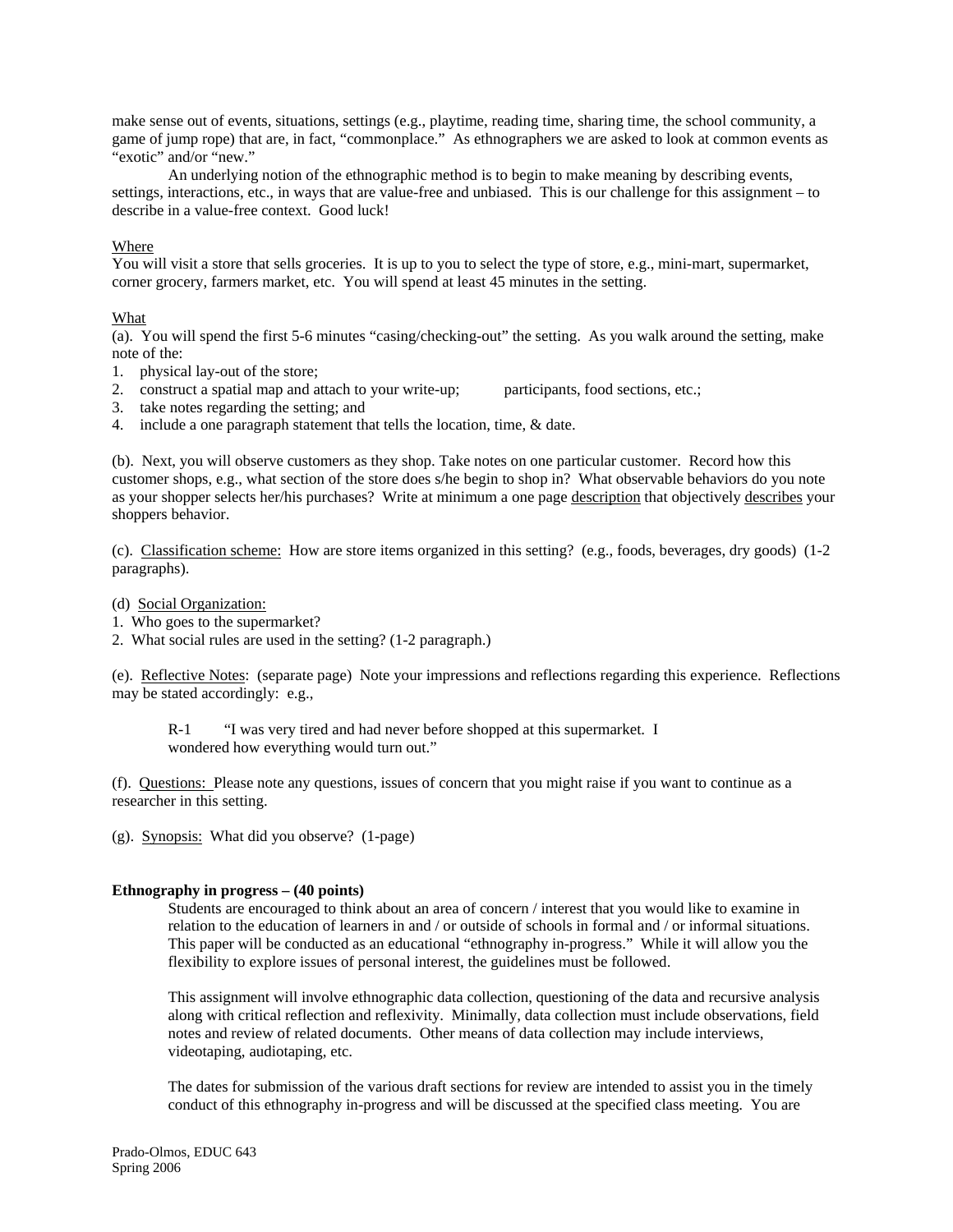make sense out of events, situations, settings (e.g., playtime, reading time, sharing time, the school community, a game of jump rope) that are, in fact, "commonplace." As ethnographers we are asked to look at common events as "exotic" and/or "new."

 An underlying notion of the ethnographic method is to begin to make meaning by describing events, settings, interactions, etc., in ways that are value-free and unbiased. This is our challenge for this assignment – to describe in a value-free context. Good luck!

## Where

You will visit a store that sells groceries. It is up to you to select the type of store, e.g., mini-mart, supermarket, corner grocery, farmers market, etc. You will spend at least 45 minutes in the setting.

## What

(a). You will spend the first 5-6 minutes "casing/checking-out" the setting. As you walk around the setting, make note of the:

- 1. physical lay-out of the store;
- 2. construct a spatial map and attach to your write-up; participants, food sections, etc.;
- 3. take notes regarding the setting; and
- 4. include a one paragraph statement that tells the location, time, & date.

(b). Next, you will observe customers as they shop. Take notes on one particular customer. Record how this customer shops, e.g., what section of the store does s/he begin to shop in? What observable behaviors do you note as your shopper selects her/his purchases? Write at minimum a one page description that objectively describes your shoppers behavior.

(c). Classification scheme: How are store items organized in this setting? (e.g., foods, beverages, dry goods) (1-2 paragraphs).

- (d) Social Organization:
- 1. Who goes to the supermarket?
- 2. What social rules are used in the setting? (1-2 paragraph.)

(e). Reflective Notes: (separate page) Note your impressions and reflections regarding this experience. Reflections may be stated accordingly: e.g.,

 R-1 "I was very tired and had never before shopped at this supermarket. I wondered how everything would turn out."

(f). Questions: Please note any questions, issues of concern that you might raise if you want to continue as a researcher in this setting.

(g). Synopsis: What did you observe? (1-page)

## **Ethnography in progress – (40 points)**

Students are encouraged to think about an area of concern / interest that you would like to examine in relation to the education of learners in and / or outside of schools in formal and / or informal situations. This paper will be conducted as an educational "ethnography in-progress." While it will allow you the flexibility to explore issues of personal interest, the guidelines must be followed.

This assignment will involve ethnographic data collection, questioning of the data and recursive analysis along with critical reflection and reflexivity. Minimally, data collection must include observations, field notes and review of related documents. Other means of data collection may include interviews, videotaping, audiotaping, etc.

The dates for submission of the various draft sections for review are intended to assist you in the timely conduct of this ethnography in-progress and will be discussed at the specified class meeting. You are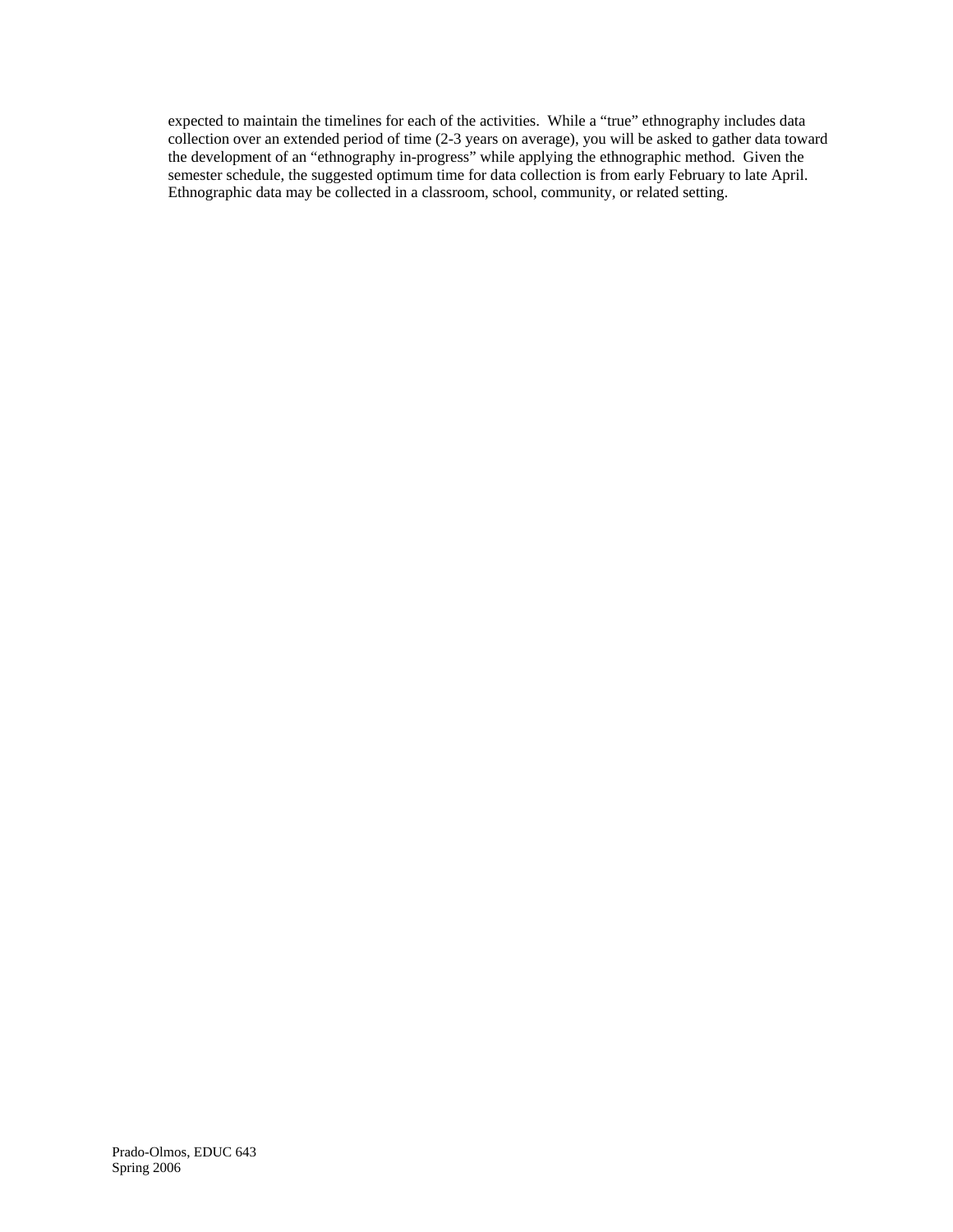expected to maintain the timelines for each of the activities. While a "true" ethnography includes data collection over an extended period of time (2-3 years on average), you will be asked to gather data toward the development of an "ethnography in-progress" while applying the ethnographic method. Given the semester schedule, the suggested optimum time for data collection is from early February to late April. Ethnographic data may be collected in a classroom, school, community, or related setting.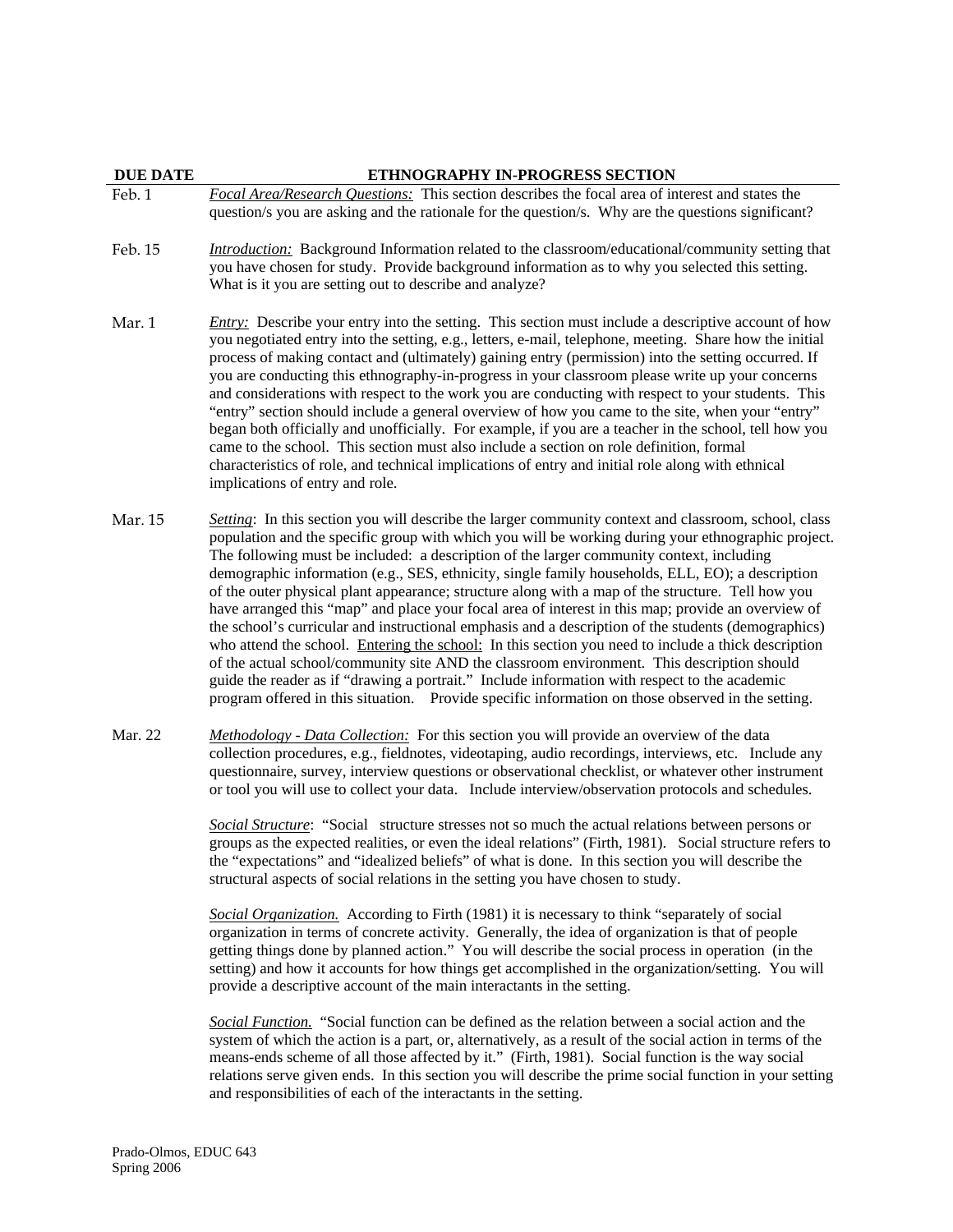## **DUE DATE ETHNOGRAPHY IN-PROGRESS SECTION**

question/s you are asking and the rationale for the question/s. Why are the questions significant? Feb. 15 *Introduction:* Background Information related to the classroom/educational/community setting that you have chosen for study. Provide background information as to why you selected this setting.

Feb. 1 *Focal Area/Research Questions:* This section describes the focal area of interest and states the

What is it you are setting out to describe and analyze?

implications of entry and role.

- Mar. 1 *Entry:* Describe your entry into the setting. This section must include a descriptive account of how you negotiated entry into the setting, e.g., letters, e-mail, telephone, meeting. Share how the initial process of making contact and (ultimately) gaining entry (permission) into the setting occurred. If you are conducting this ethnography-in-progress in your classroom please write up your concerns and considerations with respect to the work you are conducting with respect to your students. This "entry" section should include a general overview of how you came to the site, when your "entry" began both officially and unofficially. For example, if you are a teacher in the school, tell how you came to the school. This section must also include a section on role definition, formal characteristics of role, and technical implications of entry and initial role along with ethnical
- Mar. 15 *Setting*: In this section you will describe the larger community context and classroom, school, class population and the specific group with which you will be working during your ethnographic project. The following must be included: a description of the larger community context, including demographic information (e.g., SES, ethnicity, single family households, ELL, EO); a description of the outer physical plant appearance; structure along with a map of the structure. Tell how you have arranged this "map" and place your focal area of interest in this map; provide an overview of the school's curricular and instructional emphasis and a description of the students (demographics) who attend the school. Entering the school: In this section you need to include a thick description of the actual school/community site AND the classroom environment. This description should guide the reader as if "drawing a portrait." Include information with respect to the academic program offered in this situation. Provide specific information on those observed in the setting.
- Mar. 22 *Methodology Data Collection:* For this section you will provide an overview of the data collection procedures, e.g., fieldnotes, videotaping, audio recordings, interviews, etc. Include any questionnaire, survey, interview questions or observational checklist, or whatever other instrument or tool you will use to collect your data. Include interview/observation protocols and schedules.

*Social Structure*: "Social structure stresses not so much the actual relations between persons or groups as the expected realities, or even the ideal relations" (Firth, 1981). Social structure refers to the "expectations" and "idealized beliefs" of what is done. In this section you will describe the structural aspects of social relations in the setting you have chosen to study.

*Social Organization.* According to Firth (1981) it is necessary to think "separately of social organization in terms of concrete activity. Generally, the idea of organization is that of people getting things done by planned action." You will describe the social process in operation (in the setting) and how it accounts for how things get accomplished in the organization/setting. You will provide a descriptive account of the main interactants in the setting.

*Social Function.* "Social function can be defined as the relation between a social action and the system of which the action is a part, or, alternatively, as a result of the social action in terms of the means-ends scheme of all those affected by it." (Firth, 1981). Social function is the way social relations serve given ends. In this section you will describe the prime social function in your setting and responsibilities of each of the interactants in the setting.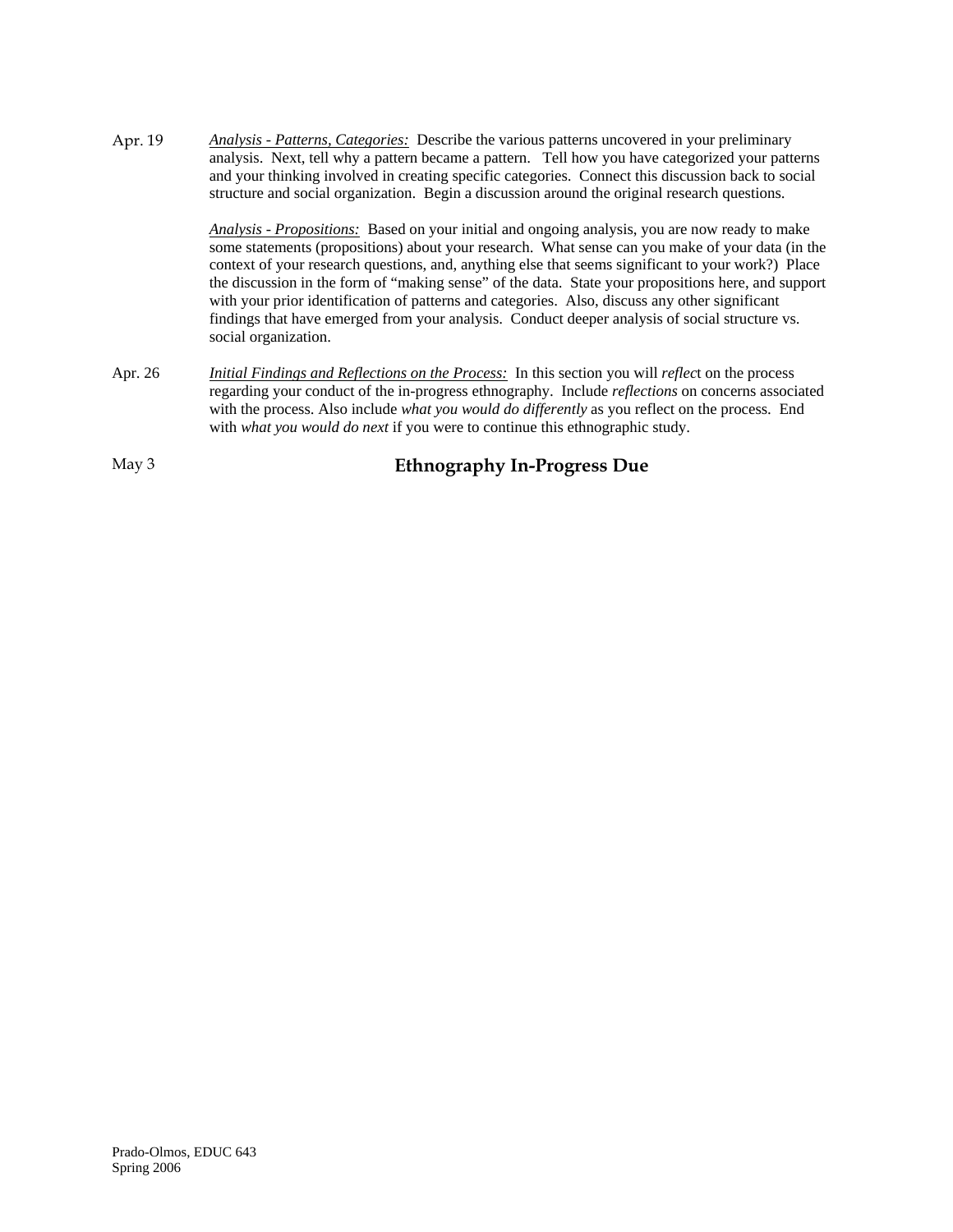Apr. 19 *Analysis - Patterns, Categories:* Describe the various patterns uncovered in your preliminary analysis. Next, tell why a pattern became a pattern. Tell how you have categorized your patterns and your thinking involved in creating specific categories. Connect this discussion back to social structure and social organization. Begin a discussion around the original research questions.

> *Analysis - Propositions:* Based on your initial and ongoing analysis, you are now ready to make some statements (propositions) about your research. What sense can you make of your data (in the context of your research questions, and, anything else that seems significant to your work?) Place the discussion in the form of "making sense" of the data. State your propositions here, and support with your prior identification of patterns and categories. Also, discuss any other significant findings that have emerged from your analysis. Conduct deeper analysis of social structure vs. social organization.

Apr. 26 *Initial Findings and Reflections on the Process:* In this section you will *reflec*t on the process regarding your conduct of the in-progress ethnography. Include *reflections* on concerns associated with the process. Also include *what you would do differently* as you reflect on the process. End with *what you would do next* if you were to continue this ethnographic study.

May 3 **Ethnography In-Progress Due**